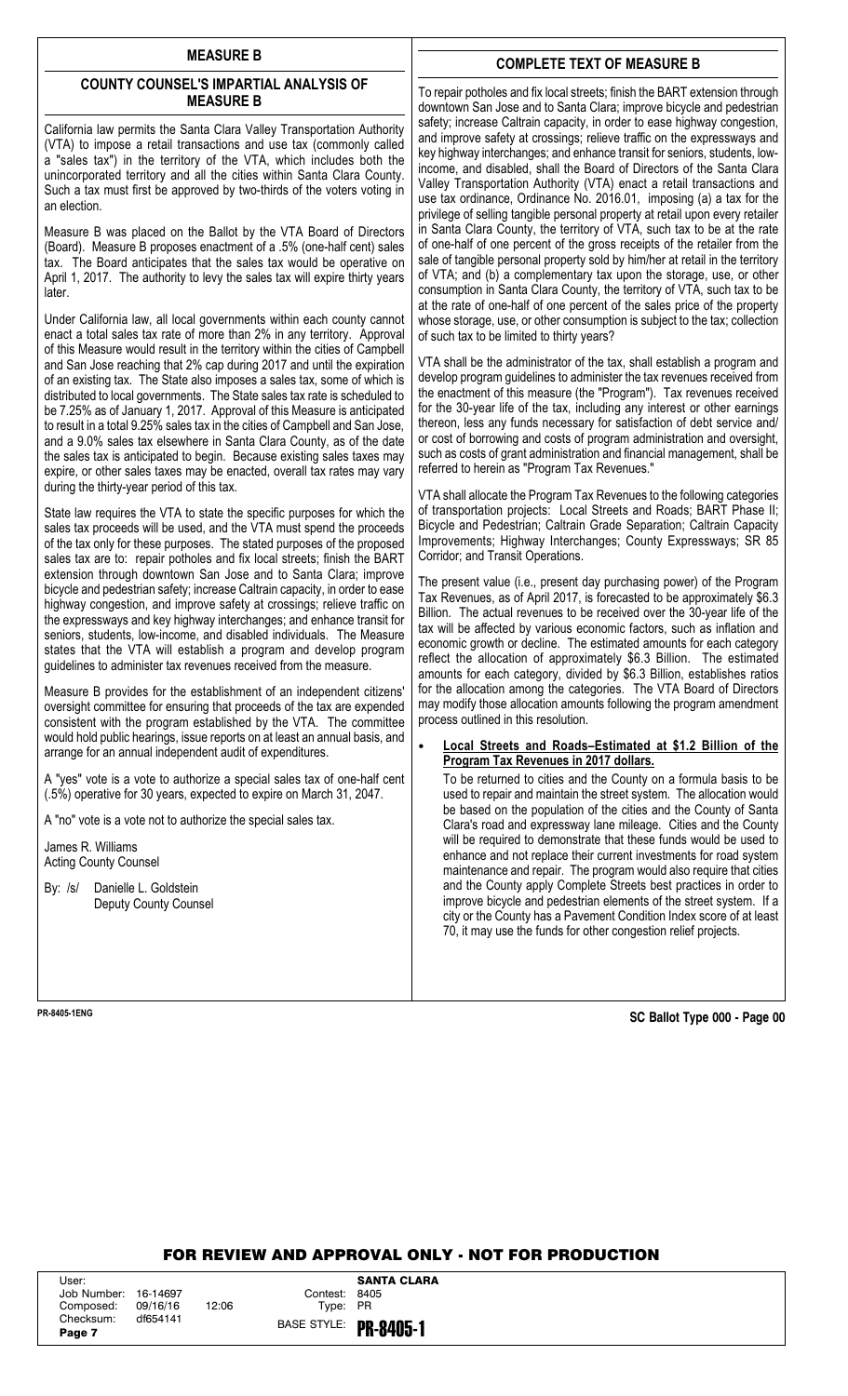# **MEASURE B**

# **COUNTY COUNSEL'S IMPARTIAL ANALYSIS OF MEASURE B**

California law permits the Santa Clara Valley Transportation Authority (VTA) to impose a retail transactions and use tax (commonly called a "sales tax") in the territory of the VTA, which includes both the unincorporated territory and all the cities within Santa Clara County. Such a tax must first be approved by two-thirds of the voters voting in an election.

Measure B was placed on the Ballot by the VTA Board of Directors (Board). Measure B proposes enactment of a .5% (one-half cent) sales tax. The Board anticipates that the sales tax would be operative on April 1, 2017. The authority to levy the sales tax will expire thirty years later.

Under California law, all local governments within each county cannot enact a total sales tax rate of more than 2% in any territory. Approval of this Measure would result in the territory within the cities of Campbell and San Jose reaching that 2% cap during 2017 and until the expiration of an existing tax. The State also imposes a sales tax, some of which is distributed to local governments. The State sales tax rate is scheduled to be 7.25% as of January 1, 2017. Approval of this Measure is anticipated to result in a total 9.25% sales tax in the cities of Campbell and San Jose, and a 9.0% sales tax elsewhere in Santa Clara County, as of the date the sales tax is anticipated to begin. Because existing sales taxes may expire, or other sales taxes may be enacted, overall tax rates may vary during the thirty-year period of this tax.

State law requires the VTA to state the specific purposes for which the sales tax proceeds will be used, and the VTA must spend the proceeds of the tax only for these purposes. The stated purposes of the proposed sales tax are to: repair potholes and fix local streets; finish the BART extension through downtown San Jose and to Santa Clara; improve bicycle and pedestrian safety; increase Caltrain capacity, in order to ease highway congestion, and improve safety at crossings; relieve traffic on the expressways and key highway interchanges; and enhance transit for seniors, students, low-income, and disabled individuals. The Measure states that the VTA will establish a program and develop program guidelines to administer tax revenues received from the measure.

Measure B provides for the establishment of an independent citizens' oversight committee for ensuring that proceeds of the tax are expended consistent with the program established by the VTA. The committee would hold public hearings, issue reports on at least an annual basis, and arrange for an annual independent audit of expenditures.

A "yes" vote is a vote to authorize a special sales tax of one-half cent (.5%) operative for 30 years, expected to expire on March 31, 2047.

A "no" vote is a vote not to authorize the special sales tax.

James R. Williams Acting County Counsel

By: /s/ Danielle L. Goldstein Deputy County Counsel

# **COMPLETE TEXT OF MEASURE B**

To repair potholes and fix local streets; finish the BART extension through downtown San Jose and to Santa Clara; improve bicycle and pedestrian safety; increase Caltrain capacity, in order to ease highway congestion, and improve safety at crossings; relieve traffic on the expressways and key highway interchanges; and enhance transit for seniors, students, lowincome, and disabled, shall the Board of Directors of the Santa Clara Valley Transportation Authority (VTA) enact a retail transactions and use tax ordinance, Ordinance No. 2016.01, imposing (a) a tax for the privilege of selling tangible personal property at retail upon every retailer in Santa Clara County, the territory of VTA, such tax to be at the rate of one-half of one percent of the gross receipts of the retailer from the sale of tangible personal property sold by him/her at retail in the territory of VTA; and (b) a complementary tax upon the storage, use, or other consumption in Santa Clara County, the territory of VTA, such tax to be at the rate of one-half of one percent of the sales price of the property whose storage, use, or other consumption is subject to the tax; collection of such tax to be limited to thirty years?

VTA shall be the administrator of the tax, shall establish a program and develop program guidelines to administer the tax revenues received from the enactment of this measure (the "Program"). Tax revenues received for the 30-year life of the tax, including any interest or other earnings thereon, less any funds necessary for satisfaction of debt service and/ or cost of borrowing and costs of program administration and oversight, such as costs of grant administration and financial management, shall be referred to herein as "Program Tax Revenues."

VTA shall allocate the Program Tax Revenues to the following categories of transportation projects: Local Streets and Roads; BART Phase II; Bicycle and Pedestrian; Caltrain Grade Separation; Caltrain Capacity Improvements; Highway Interchanges; County Expressways; SR 85 Corridor; and Transit Operations.

The present value (i.e., present day purchasing power) of the Program Tax Revenues, as of April 2017, is forecasted to be approximately \$6.3 Billion. The actual revenues to be received over the 30-year life of the tax will be affected by various economic factors, such as inflation and economic growth or decline. The estimated amounts for each category reflect the allocation of approximately \$6.3 Billion. The estimated amounts for each category, divided by \$6.3 Billion, establishes ratios for the allocation among the categories. The VTA Board of Directors may modify those allocation amounts following the program amendment process outlined in this resolution.

### • **Local Streets and Roads–Estimated at \$1.2 Billion of the Program Tax Revenues in 2017 dollars.**

To be returned to cities and the County on a formula basis to be used to repair and maintain the street system. The allocation would be based on the population of the cities and the County of Santa Clara's road and expressway lane mileage. Cities and the County will be required to demonstrate that these funds would be used to enhance and not replace their current investments for road system maintenance and repair. The program would also require that cities and the County apply Complete Streets best practices in order to improve bicycle and pedestrian elements of the street system. If a city or the County has a Pavement Condition Index score of at least 70, it may use the funds for other congestion relief projects.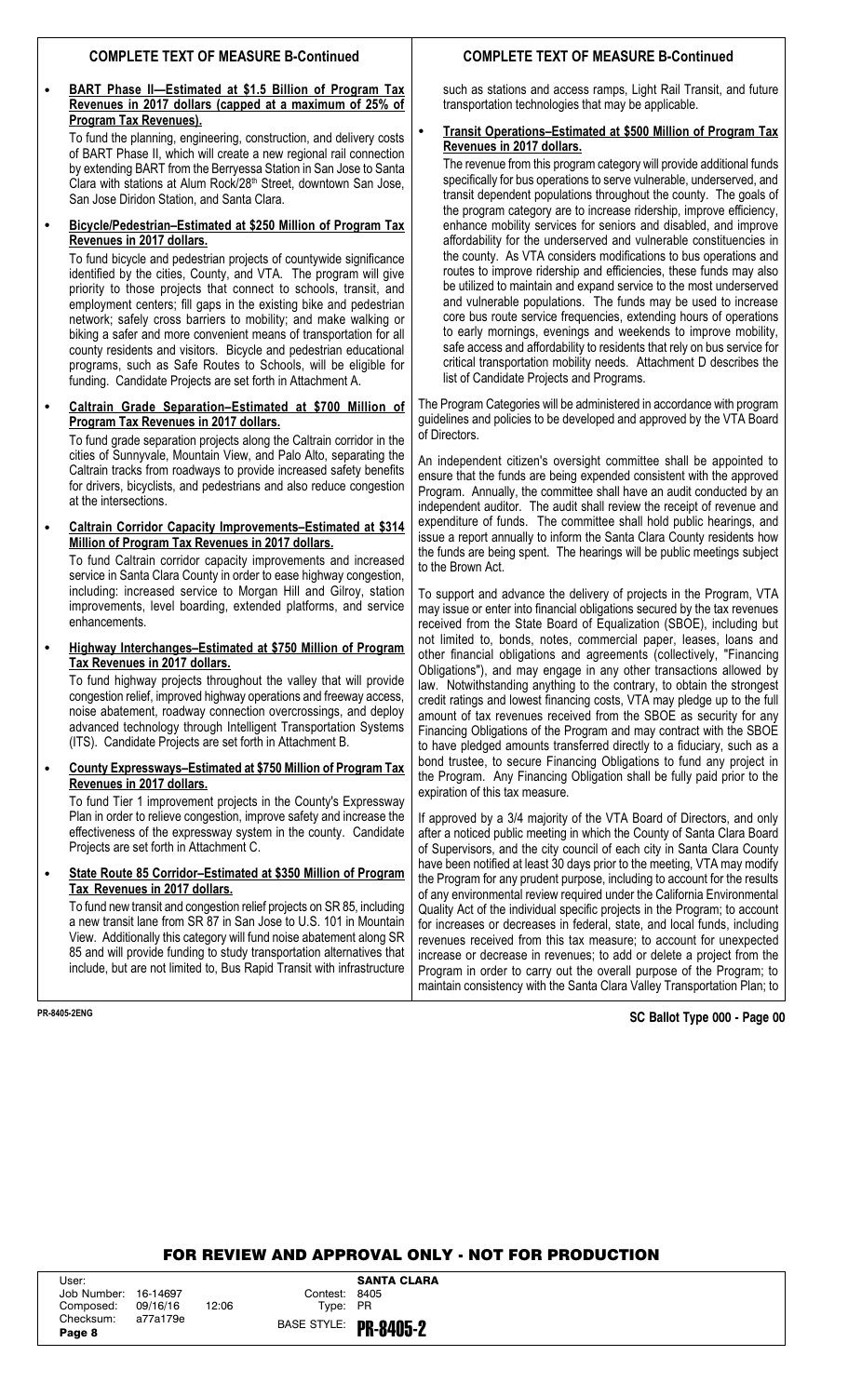# **COMPLETE TEXT OF MEASURE B-Continued**

# • **BART Phase II—Estimated at \$1.5 Billion of Program Tax Revenues in 2017 dollars (capped at a maximum of 25% of Program Tax Revenues).**

To fund the planning, engineering, construction, and delivery costs of BART Phase II, which will create a new regional rail connection by extending BART from the Berryessa Station in San Jose to Santa Clara with stations at Alum Rock/28<sup>th</sup> Street, downtown San Jose, San Jose Diridon Station, and Santa Clara.

### • **Bicycle/Pedestrian–Estimated at \$250 Million of Program Tax Revenues in 2017 dollars.**

To fund bicycle and pedestrian projects of countywide significance identified by the cities, County, and VTA. The program will give priority to those projects that connect to schools, transit, and employment centers; fill gaps in the existing bike and pedestrian network; safely cross barriers to mobility; and make walking or biking a safer and more convenient means of transportation for all county residents and visitors. Bicycle and pedestrian educational programs, such as Safe Routes to Schools, will be eligible for funding. Candidate Projects are set forth in Attachment A.

### • **Caltrain Grade Separation–Estimated at \$700 Million of Program Tax Revenues in 2017 dollars.**

To fund grade separation projects along the Caltrain corridor in the cities of Sunnyvale, Mountain View, and Palo Alto, separating the Caltrain tracks from roadways to provide increased safety benefits for drivers, bicyclists, and pedestrians and also reduce congestion at the intersections.

### • **Caltrain Corridor Capacity Improvements–Estimated at \$314 Million of Program Tax Revenues in 2017 dollars.**

To fund Caltrain corridor capacity improvements and increased service in Santa Clara County in order to ease highway congestion, including: increased service to Morgan Hill and Gilroy, station improvements, level boarding, extended platforms, and service enhancements.

### • **Highway Interchanges–Estimated at \$750 Million of Program Tax Revenues in 2017 dollars.**

To fund highway projects throughout the valley that will provide congestion relief, improved highway operations and freeway access, noise abatement, roadway connection overcrossings, and deploy advanced technology through Intelligent Transportation Systems (ITS). Candidate Projects are set forth in Attachment B.

### • **County Expressways–Estimated at \$750 Million of Program Tax Revenues in 2017 dollars.**

To fund Tier 1 improvement projects in the County's Expressway Plan in order to relieve congestion, improve safety and increase the effectiveness of the expressway system in the county. Candidate Projects are set forth in Attachment C.

### • **State Route 85 Corridor–Estimated at \$350 Million of Program Tax Revenues in 2017 dollars.**

To fund new transit and congestion relief projects on SR 85, including a new transit lane from SR 87 in San Jose to U.S. 101 in Mountain View. Additionally this category will fund noise abatement along SR 85 and will provide funding to study transportation alternatives that include, but are not limited to, Bus Rapid Transit with infrastructure

# **COMPLETE TEXT OF MEASURE B-Continued**

such as stations and access ramps, Light Rail Transit, and future transportation technologies that may be applicable.

# • **Transit Operations–Estimated at \$500 Million of Program Tax Revenues in 2017 dollars.**

The revenue from this program category will provide additional funds specifically for bus operations to serve vulnerable, underserved, and transit dependent populations throughout the county. The goals of the program category are to increase ridership, improve efficiency, enhance mobility services for seniors and disabled, and improve affordability for the underserved and vulnerable constituencies in the county. As VTA considers modifications to bus operations and routes to improve ridership and efficiencies, these funds may also be utilized to maintain and expand service to the most underserved and vulnerable populations. The funds may be used to increase core bus route service frequencies, extending hours of operations to early mornings, evenings and weekends to improve mobility, safe access and affordability to residents that rely on bus service for critical transportation mobility needs. Attachment D describes the list of Candidate Projects and Programs.

The Program Categories will be administered in accordance with program guidelines and policies to be developed and approved by the VTA Board of Directors.

An independent citizen's oversight committee shall be appointed to ensure that the funds are being expended consistent with the approved Program. Annually, the committee shall have an audit conducted by an independent auditor. The audit shall review the receipt of revenue and expenditure of funds. The committee shall hold public hearings, and issue a report annually to inform the Santa Clara County residents how the funds are being spent. The hearings will be public meetings subject to the Brown Act.

To support and advance the delivery of projects in the Program, VTA may issue or enter into financial obligations secured by the tax revenues received from the State Board of Equalization (SBOE), including but not limited to, bonds, notes, commercial paper, leases, loans and other financial obligations and agreements (collectively, "Financing Obligations"), and may engage in any other transactions allowed by law. Notwithstanding anything to the contrary, to obtain the strongest credit ratings and lowest financing costs, VTA may pledge up to the full amount of tax revenues received from the SBOE as security for any Financing Obligations of the Program and may contract with the SBOE to have pledged amounts transferred directly to a fiduciary, such as a bond trustee, to secure Financing Obligations to fund any project in the Program. Any Financing Obligation shall be fully paid prior to the expiration of this tax measure.

If approved by a 3/4 majority of the VTA Board of Directors, and only after a noticed public meeting in which the County of Santa Clara Board of Supervisors, and the city council of each city in Santa Clara County have been notified at least 30 days prior to the meeting, VTA may modify the Program for any prudent purpose, including to account for the results of any environmental review required under the California Environmental Quality Act of the individual specific projects in the Program; to account for increases or decreases in federal, state, and local funds, including revenues received from this tax measure; to account for unexpected increase or decrease in revenues; to add or delete a project from the Program in order to carry out the overall purpose of the Program; to maintain consistency with the Santa Clara Valley Transportation Plan; to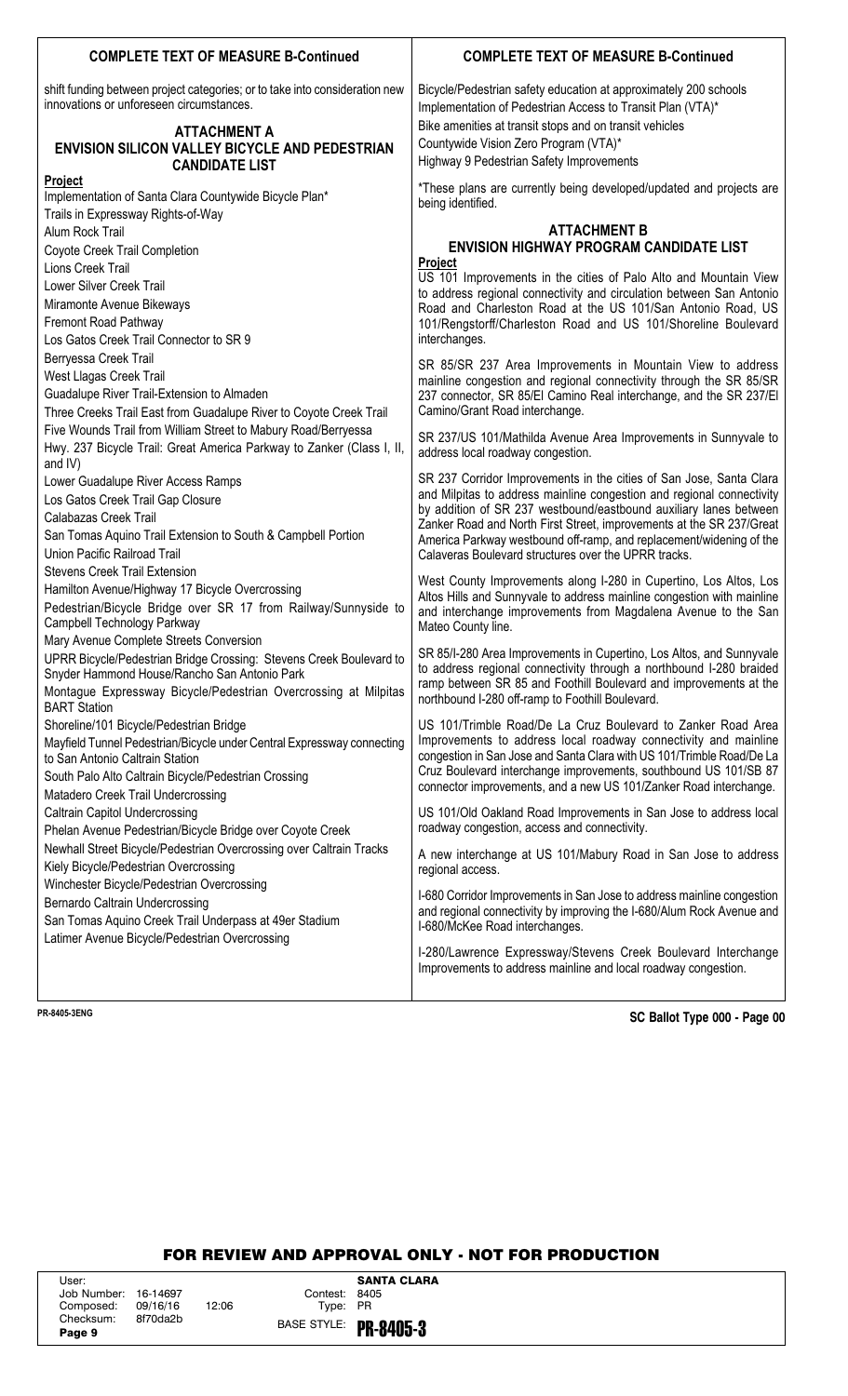# **COMPLETE TEXT OF MEASURE B-Continued COMPLETE TEXT OF MEASURE B-Continued**

shift funding between project categories; or to take into consideration new innovations or unforeseen circumstances.

# **ATTACHMENT A ENVISION SILICON VALLEY BICYCLE AND PEDESTRIAN CANDIDATE LIST**

### **Project**

Implementation of Santa Clara Countywide Bicycle Plan\* Trails in Expressway Rights-of-Way Alum Rock Trail Coyote Creek Trail Completion Lions Creek Trail Lower Silver Creek Trail Miramonte Avenue Bikeways Fremont Road Pathway Los Gatos Creek Trail Connector to SR 9 Berryessa Creek Trail West Llagas Creek Trail Guadalupe River Trail-Extension to Almaden Three Creeks Trail East from Guadalupe River to Coyote Creek Trail Five Wounds Trail from William Street to Mabury Road/Berryessa Hwy. 237 Bicycle Trail: Great America Parkway to Zanker (Class I, II, and IV) Lower Guadalupe River Access Ramps Los Gatos Creek Trail Gap Closure Calabazas Creek Trail San Tomas Aquino Trail Extension to South & Campbell Portion Union Pacific Railroad Trail Stevens Creek Trail Extension Hamilton Avenue/Highway 17 Bicycle Overcrossing Pedestrian/Bicycle Bridge over SR 17 from Railway/Sunnyside to Campbell Technology Parkway Mary Avenue Complete Streets Conversion UPRR Bicycle/Pedestrian Bridge Crossing: Stevens Creek Boulevard to Snyder Hammond House/Rancho San Antonio Park Montague Expressway Bicycle/Pedestrian Overcrossing at Milpitas BART Station Shoreline/101 Bicycle/Pedestrian Bridge Mayfield Tunnel Pedestrian/Bicycle under Central Expressway connecting to San Antonio Caltrain Station South Palo Alto Caltrain Bicycle/Pedestrian Crossing Matadero Creek Trail Undercrossing Caltrain Capitol Undercrossing Phelan Avenue Pedestrian/Bicycle Bridge over Coyote Creek Newhall Street Bicycle/Pedestrian Overcrossing over Caltrain Tracks Kiely Bicycle/Pedestrian Overcrossing Winchester Bicycle/Pedestrian Overcrossing Bernardo Caltrain Undercrossing San Tomas Aquino Creek Trail Underpass at 49er Stadium Latimer Avenue Bicycle/Pedestrian Overcrossing

Bicycle/Pedestrian safety education at approximately 200 schools Implementation of Pedestrian Access to Transit Plan (VTA)\* Bike amenities at transit stops and on transit vehicles Countywide Vision Zero Program (VTA)\* Highway 9 Pedestrian Safety Improvements

\*These plans are currently being developed/updated and projects are being identified.

### **ATTACHMENT B ENVISION HIGHWAY PROGRAM CANDIDATE LIST Project**

US 101 Improvements in the cities of Palo Alto and Mountain View to address regional connectivity and circulation between San Antonio Road and Charleston Road at the US 101/San Antonio Road, US 101/Rengstorff/Charleston Road and US 101/Shoreline Boulevard interchanges.

SR 85/SR 237 Area Improvements in Mountain View to address mainline congestion and regional connectivity through the SR 85/SR 237 connector, SR 85/El Camino Real interchange, and the SR 237/El Camino/Grant Road interchange.

SR 237/US 101/Mathilda Avenue Area Improvements in Sunnyvale to address local roadway congestion.

SR 237 Corridor Improvements in the cities of San Jose, Santa Clara and Milpitas to address mainline congestion and regional connectivity by addition of SR 237 westbound/eastbound auxiliary lanes between Zanker Road and North First Street, improvements at the SR 237/Great America Parkway westbound off-ramp, and replacement/widening of the Calaveras Boulevard structures over the UPRR tracks.

West County Improvements along I-280 in Cupertino, Los Altos, Los Altos Hills and Sunnyvale to address mainline congestion with mainline and interchange improvements from Magdalena Avenue to the San Mateo County line.

SR 85/I-280 Area Improvements in Cupertino, Los Altos, and Sunnyvale to address regional connectivity through a northbound I-280 braided ramp between SR 85 and Foothill Boulevard and improvements at the northbound I-280 off-ramp to Foothill Boulevard.

US 101/Trimble Road/De La Cruz Boulevard to Zanker Road Area Improvements to address local roadway connectivity and mainline congestion in San Jose and Santa Clara with US 101/Trimble Road/De La Cruz Boulevard interchange improvements, southbound US 101/SB 87 connector improvements, and a new US 101/Zanker Road interchange.

US 101/Old Oakland Road Improvements in San Jose to address local roadway congestion, access and connectivity.

A new interchange at US 101/Mabury Road in San Jose to address regional access.

I-680 Corridor Improvements in San Jose to address mainline congestion and regional connectivity by improving the I-680/Alum Rock Avenue and I-680/McKee Road interchanges.

I-280/Lawrence Expressway/Stevens Creek Boulevard Interchange Improvements to address mainline and local roadway congestion.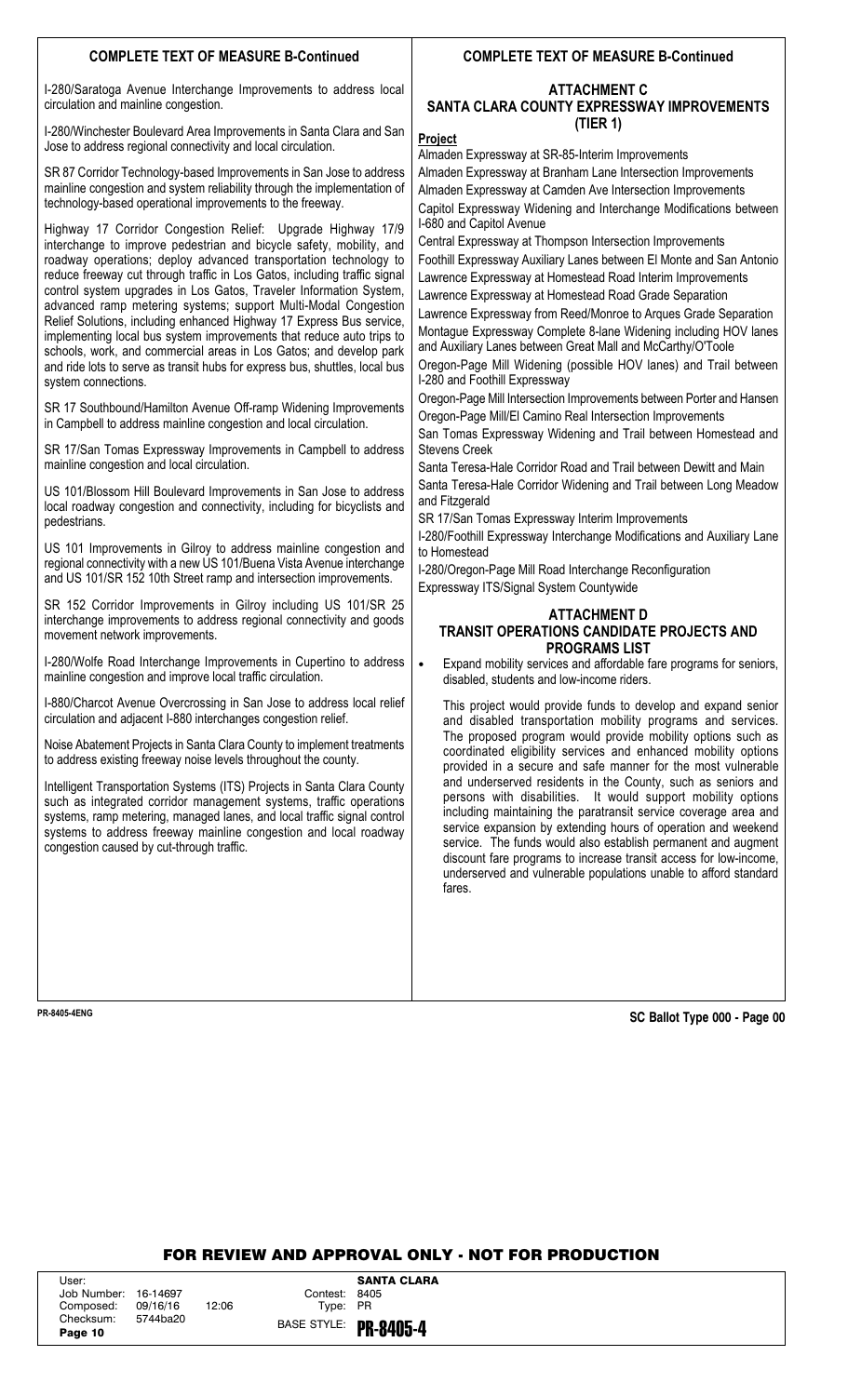# **COMPLETE TEXT OF MEASURE B-Continued**

I-280/Saratoga Avenue Interchange Improvements to address local circulation and mainline congestion.

I-280/Winchester Boulevard Area Improvements in Santa Clara and San Jose to address regional connectivity and local circulation.

SR 87 Corridor Technology-based Improvements in San Jose to address mainline congestion and system reliability through the implementation of technology-based operational improvements to the freeway.

Highway 17 Corridor Congestion Relief: Upgrade Highway 17/9 interchange to improve pedestrian and bicycle safety, mobility, and roadway operations; deploy advanced transportation technology to reduce freeway cut through traffic in Los Gatos, including traffic signal control system upgrades in Los Gatos, Traveler Information System, advanced ramp metering systems; support Multi-Modal Congestion Relief Solutions, including enhanced Highway 17 Express Bus service, implementing local bus system improvements that reduce auto trips to schools, work, and commercial areas in Los Gatos; and develop park and ride lots to serve as transit hubs for express bus, shuttles, local bus system connections.

SR 17 Southbound/Hamilton Avenue Off-ramp Widening Improvements in Campbell to address mainline congestion and local circulation.

SR 17/San Tomas Expressway Improvements in Campbell to address mainline congestion and local circulation.

US 101/Blossom Hill Boulevard Improvements in San Jose to address local roadway congestion and connectivity, including for bicyclists and pedestrians.

US 101 Improvements in Gilroy to address mainline congestion and regional connectivity with a new US 101/Buena Vista Avenue interchange and US 101/SR 152 10th Street ramp and intersection improvements.

SR 152 Corridor Improvements in Gilroy including US 101/SR 25 interchange improvements to address regional connectivity and goods movement network improvements.

I-280/Wolfe Road Interchange Improvements in Cupertino to address mainline congestion and improve local traffic circulation.

I-880/Charcot Avenue Overcrossing in San Jose to address local relief circulation and adjacent I-880 interchanges congestion relief.

Noise Abatement Projects in Santa Clara County to implement treatments to address existing freeway noise levels throughout the county.

Intelligent Transportation Systems (ITS) Projects in Santa Clara County such as integrated corridor management systems, traffic operations systems, ramp metering, managed lanes, and local traffic signal control systems to address freeway mainline congestion and local roadway congestion caused by cut-through traffic.

# **COMPLETE TEXT OF MEASURE B-Continued**

# **ATTACHMENT C SANTA CLARA COUNTY EXPRESSWAY IMPROVEMENTS (TIER 1)**

### **Project**

Almaden Expressway at SR-85-Interim Improvements

Almaden Expressway at Branham Lane Intersection Improvements Almaden Expressway at Camden Ave Intersection Improvements Capitol Expressway Widening and Interchange Modifications between I-680 and Capitol Avenue

Central Expressway at Thompson Intersection Improvements

Foothill Expressway Auxiliary Lanes between El Monte and San Antonio Lawrence Expressway at Homestead Road Interim Improvements

Lawrence Expressway at Homestead Road Grade Separation

Lawrence Expressway from Reed/Monroe to Arques Grade Separation Montague Expressway Complete 8-lane Widening including HOV lanes and Auxiliary Lanes between Great Mall and McCarthy/O'Toole

Oregon-Page Mill Widening (possible HOV lanes) and Trail between I-280 and Foothill Expressway

Oregon-Page Mill Intersection Improvements between Porter and Hansen Oregon-Page Mill/El Camino Real Intersection Improvements

San Tomas Expressway Widening and Trail between Homestead and Stevens Creek

Santa Teresa-Hale Corridor Road and Trail between Dewitt and Main Santa Teresa-Hale Corridor Widening and Trail between Long Meadow and Fitzgerald

SR 17/San Tomas Expressway Interim Improvements

I-280/Foothill Expressway Interchange Modifications and Auxiliary Lane to Homestead

I-280/Oregon-Page Mill Road Interchange Reconfiguration Expressway ITS/Signal System Countywide

# **ATTACHMENT D TRANSIT OPERATIONS CANDIDATE PROJECTS AND PROGRAMS LIST**

• Expand mobility services and affordable fare programs for seniors, disabled, students and low-income riders.

This project would provide funds to develop and expand senior and disabled transportation mobility programs and services. The proposed program would provide mobility options such as coordinated eligibility services and enhanced mobility options provided in a secure and safe manner for the most vulnerable and underserved residents in the County, such as seniors and persons with disabilities. It would support mobility options including maintaining the paratransit service coverage area and service expansion by extending hours of operation and weekend service. The funds would also establish permanent and augment discount fare programs to increase transit access for low-income, underserved and vulnerable populations unable to afford standard fares.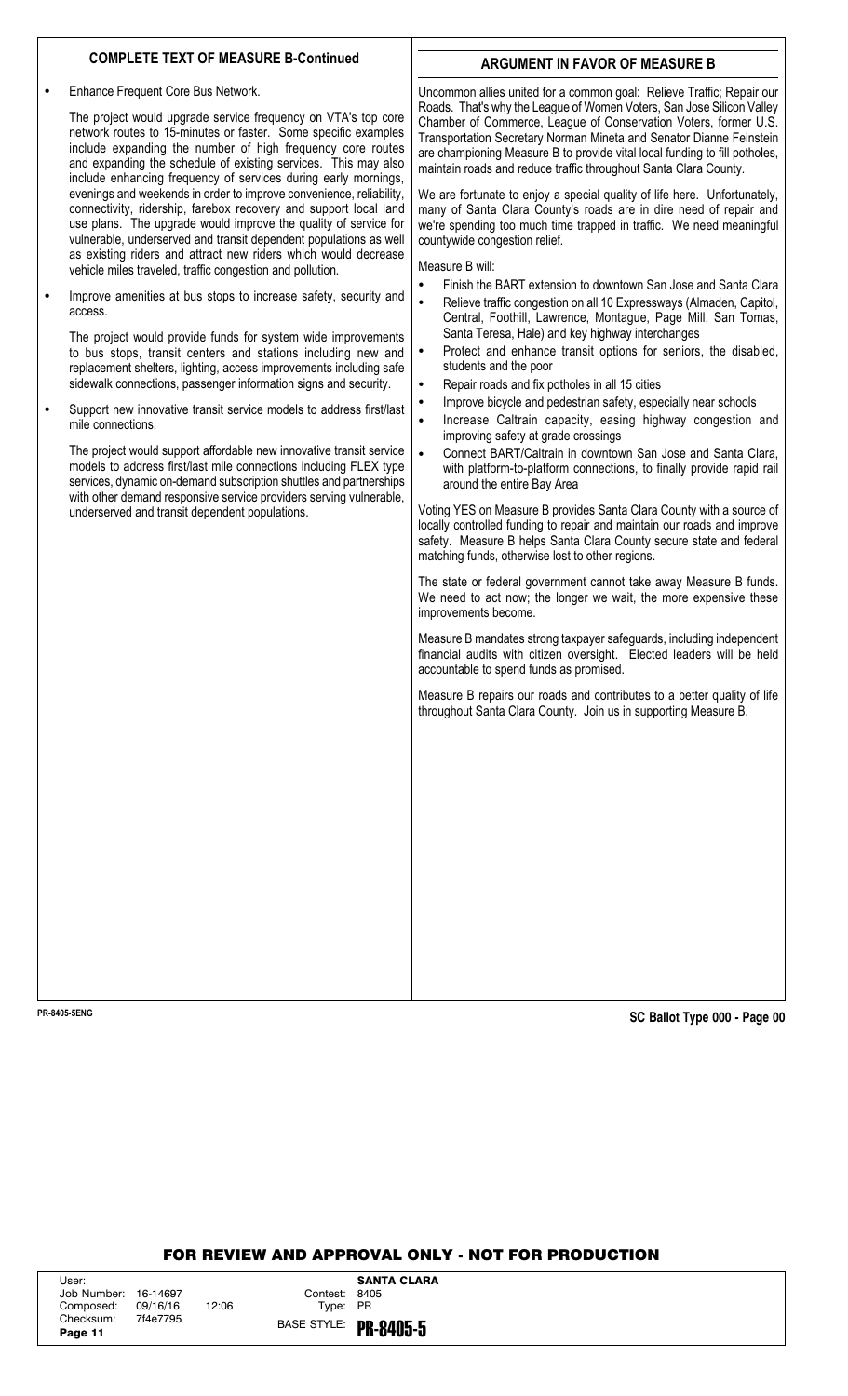# **COMPLETE TEXT OF MEASURE B-Continued**

• Enhance Frequent Core Bus Network.

The project would upgrade service frequency on VTA's top core network routes to 15-minutes or faster. Some specific examples include expanding the number of high frequency core routes and expanding the schedule of existing services. This may also include enhancing frequency of services during early mornings, evenings and weekends in order to improve convenience, reliability, connectivity, ridership, farebox recovery and support local land use plans. The upgrade would improve the quality of service for vulnerable, underserved and transit dependent populations as well as existing riders and attract new riders which would decrease vehicle miles traveled, traffic congestion and pollution.

• Improve amenities at bus stops to increase safety, security and access.

The project would provide funds for system wide improvements to bus stops, transit centers and stations including new and replacement shelters, lighting, access improvements including safe sidewalk connections, passenger information signs and security.

• Support new innovative transit service models to address first/last mile connections.

The project would support affordable new innovative transit service models to address first/last mile connections including FLEX type services, dynamic on-demand subscription shuttles and partnerships with other demand responsive service providers serving vulnerable, underserved and transit dependent populations.

# **ARGUMENT IN FAVOR OF MEASURE B**

Uncommon allies united for a common goal: Relieve Traffic; Repair our Roads. That's why the League of Women Voters, San Jose Silicon Valley Chamber of Commerce, League of Conservation Voters, former U.S. Transportation Secretary Norman Mineta and Senator Dianne Feinstein are championing Measure B to provide vital local funding to fill potholes, maintain roads and reduce traffic throughout Santa Clara County.

We are fortunate to enjoy a special quality of life here. Unfortunately, many of Santa Clara County's roads are in dire need of repair and we're spending too much time trapped in traffic. We need meaningful countywide congestion relief.

Measure B will:

- Finish the BART extension to downtown San Jose and Santa Clara
- Relieve traffic congestion on all 10 Expressways (Almaden, Capitol, Central, Foothill, Lawrence, Montague, Page Mill, San Tomas, Santa Teresa, Hale) and key highway interchanges
- Protect and enhance transit options for seniors, the disabled, students and the poor
- Repair roads and fix potholes in all 15 cities
	- Improve bicycle and pedestrian safety, especially near schools
- Increase Caltrain capacity, easing highway congestion and improving safety at grade crossings
- Connect BART/Caltrain in downtown San Jose and Santa Clara, with platform-to-platform connections, to finally provide rapid rail around the entire Bay Area

Voting YES on Measure B provides Santa Clara County with a source of locally controlled funding to repair and maintain our roads and improve safety. Measure B helps Santa Clara County secure state and federal matching funds, otherwise lost to other regions.

The state or federal government cannot take away Measure B funds. We need to act now; the longer we wait, the more expensive these improvements become.

Measure B mandates strong taxpayer safeguards, including independent financial audits with citizen oversight. Elected leaders will be held accountable to spend funds as promised.

Measure B repairs our roads and contributes to a better quality of life throughout Santa Clara County. Join us in supporting Measure B.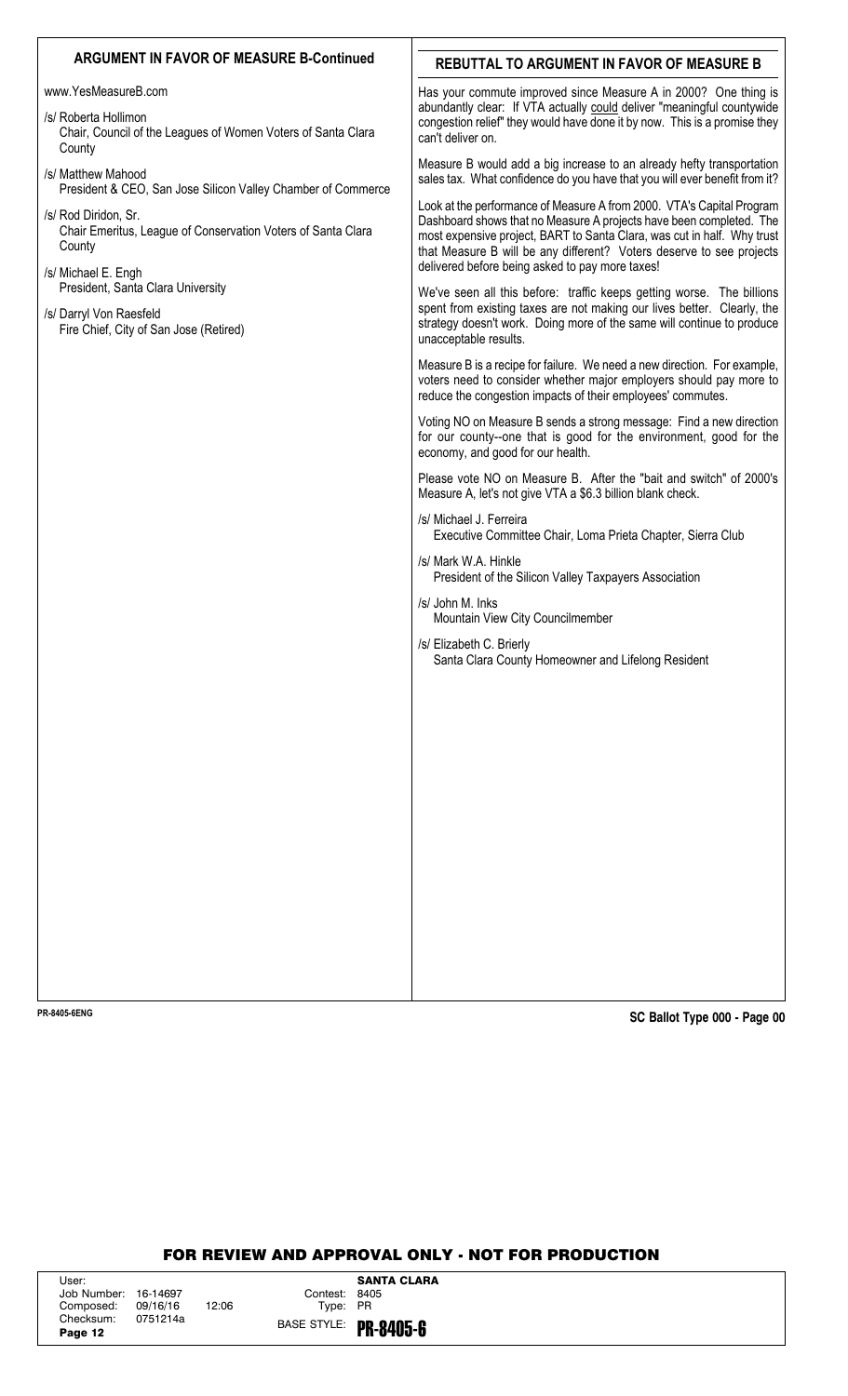# ARGUMENT IN FAVOR OF MEASURE B-Continued **REBUTTAL TO ARGUMENT IN FAVOR OF MEASURE B** Has your commute improved since Measure A in 2000? One thing is abundantly clear: If VTA actually could deliver "meaningful countywide congestion relief" they would have done it by now. This is a promise they can't deliver on. Measure B would add a big increase to an already hefty transportation sales tax. What confidence do you have that you will ever benefit from it? Look at the performance of Measure A from 2000. VTA's Capital Program Dashboard shows that no Measure A projects have been completed. The most expensive project, BART to Santa Clara, was cut in half. Why trust that Measure B will be any different? Voters deserve to see projects delivered before being asked to pay more taxes! We've seen all this before: traffic keeps getting worse. The billions spent from existing taxes are not making our lives better. Clearly, the strategy doesn't work. Doing more of the same will continue to produce unacceptable results. Measure B is a recipe for failure. We need a new direction. For example, voters need to consider whether major employers should pay more to reduce the congestion impacts of their employees' commutes. Voting NO on Measure B sends a strong message: Find a new direction for our county--one that is good for the environment, good for the economy, and good for our health. Please vote NO on Measure B. After the "bait and switch" of 2000's Measure A, let's not give VTA a \$6.3 billion blank check. /s/ Michael J. Ferreira Executive Committee Chair, Loma Prieta Chapter, Sierra Club /s/ Mark W.A. Hinkle President of the Silicon Valley Taxpayers Association /s/ John M. Inks Mountain View City Councilmember /s/ Elizabeth C. Brierly Santa Clara County Homeowner and Lifelong Resident www.YesMeasureB.com /s/ Roberta Hollimon Chair, Council of the Leagues of Women Voters of Santa Clara **County** /s/ Matthew Mahood President & CEO, San Jose Silicon Valley Chamber of Commerce /s/ Rod Diridon, Sr. Chair Emeritus, League of Conservation Voters of Santa Clara **County** /s/ Michael E. Engh President, Santa Clara University /s/ Darryl Von Raesfeld Fire Chief, City of San Jose (Retired)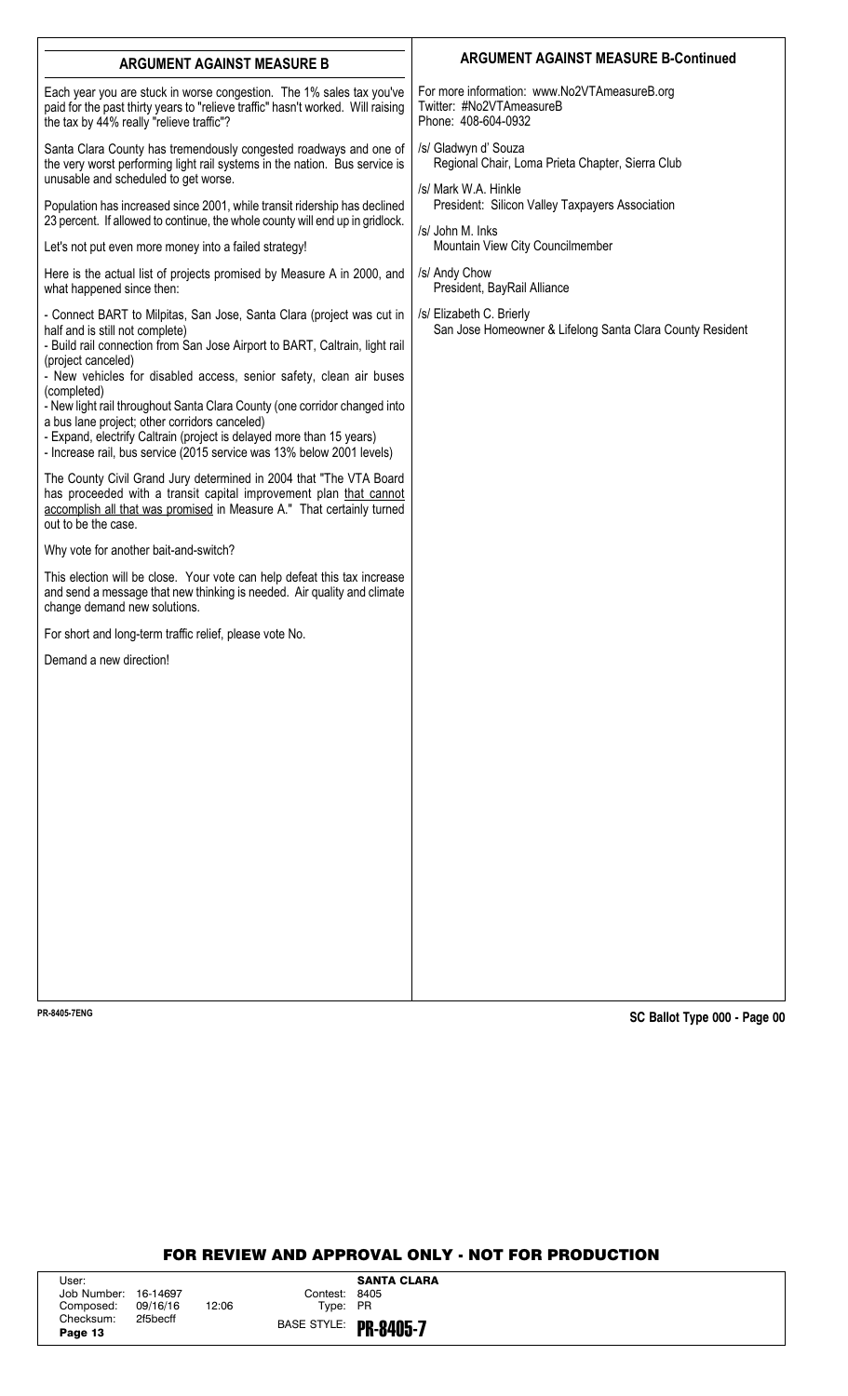| <b>ARGUMENT AGAINST MEASURE B</b>                                                                                                                                                                                                                                                                                                                                                                                                                                                                                                                                                 | <b>ARGUMENT AGAINST MEASURE B-Continued</b>                                                      |
|-----------------------------------------------------------------------------------------------------------------------------------------------------------------------------------------------------------------------------------------------------------------------------------------------------------------------------------------------------------------------------------------------------------------------------------------------------------------------------------------------------------------------------------------------------------------------------------|--------------------------------------------------------------------------------------------------|
| Each year you are stuck in worse congestion. The 1% sales tax you've<br>paid for the past thirty years to "relieve traffic" hasn't worked. Will raising<br>the tax by 44% really "relieve traffic"?                                                                                                                                                                                                                                                                                                                                                                               | For more information: www.No2VTAmeasureB.org<br>Twitter: #No2VTAmeasureB<br>Phone: 408-604-0932  |
| Santa Clara County has tremendously congested roadways and one of<br>the very worst performing light rail systems in the nation. Bus service is<br>unusable and scheduled to get worse.                                                                                                                                                                                                                                                                                                                                                                                           | /s/ Gladwyn d' Souza<br>Regional Chair, Loma Prieta Chapter, Sierra Club<br>/s/ Mark W.A. Hinkle |
| Population has increased since 2001, while transit ridership has declined<br>23 percent. If allowed to continue, the whole county will end up in gridlock.                                                                                                                                                                                                                                                                                                                                                                                                                        | President: Silicon Valley Taxpayers Association<br>/s/ John M. Inks                              |
| Let's not put even more money into a failed strategy!                                                                                                                                                                                                                                                                                                                                                                                                                                                                                                                             | Mountain View City Councilmember                                                                 |
| Here is the actual list of projects promised by Measure A in 2000, and<br>what happened since then:                                                                                                                                                                                                                                                                                                                                                                                                                                                                               | /s/ Andy Chow<br>President, BayRail Alliance                                                     |
| - Connect BART to Milpitas, San Jose, Santa Clara (project was cut in<br>half and is still not complete)<br>- Build rail connection from San Jose Airport to BART, Caltrain, light rail<br>(project canceled)<br>- New vehicles for disabled access, senior safety, clean air buses<br>(completed)<br>- New light rail throughout Santa Clara County (one corridor changed into<br>a bus lane project; other corridors canceled)<br>- Expand, electrify Caltrain (project is delayed more than 15 years)<br>- Increase rail, bus service (2015 service was 13% below 2001 levels) | /s/ Elizabeth C. Brierly<br>San Jose Homeowner & Lifelong Santa Clara County Resident            |
| The County Civil Grand Jury determined in 2004 that "The VTA Board<br>has proceeded with a transit capital improvement plan that cannot<br>accomplish all that was promised in Measure A." That certainly turned<br>out to be the case.                                                                                                                                                                                                                                                                                                                                           |                                                                                                  |
| Why vote for another bait-and-switch?                                                                                                                                                                                                                                                                                                                                                                                                                                                                                                                                             |                                                                                                  |
| This election will be close. Your vote can help defeat this tax increase<br>and send a message that new thinking is needed. Air quality and climate<br>change demand new solutions.                                                                                                                                                                                                                                                                                                                                                                                               |                                                                                                  |
| For short and long-term traffic relief, please vote No.                                                                                                                                                                                                                                                                                                                                                                                                                                                                                                                           |                                                                                                  |
| Demand a new direction!                                                                                                                                                                                                                                                                                                                                                                                                                                                                                                                                                           |                                                                                                  |
|                                                                                                                                                                                                                                                                                                                                                                                                                                                                                                                                                                                   |                                                                                                  |
|                                                                                                                                                                                                                                                                                                                                                                                                                                                                                                                                                                                   |                                                                                                  |
|                                                                                                                                                                                                                                                                                                                                                                                                                                                                                                                                                                                   |                                                                                                  |
|                                                                                                                                                                                                                                                                                                                                                                                                                                                                                                                                                                                   |                                                                                                  |